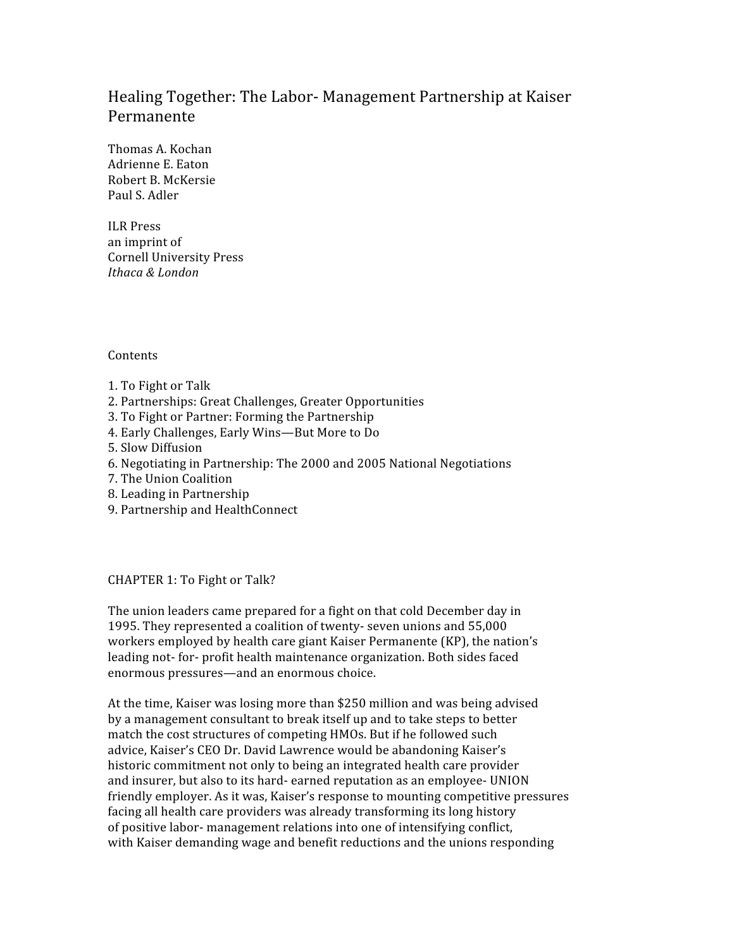## Healing Together: The Labor‐ Management Partnership at Kaiser Permanente

Thomas A. Kochan Adrienne E. Eaton Robert B. McKersie Paul S. Adler

ILR Press an imprint of Cornell University Press *Ithaca & London*

Contents

## 1. To Fight or Talk

- 2. Partnerships: Great Challenges, Greater Opportunities
- 3. To Fight or Partner: Forming the Partnership
- 4. Early Challenges, Early Wins—But More to Do
- 5. Slow Diffusion
- 6. Negotiating in Partnership: The 2000 and 2005 National Negotiations
- 7. The Union Coalition
- 8. Leading in Partnership
- 9. Partnership and HealthConnect

## CHAPTER 1: To Fight or Talk?

The union leaders came prepared for a fight on that cold December day in 1995. They represented a coalition of twenty‐ seven unions and 55,000 workers employed by health care giant Kaiser Permanente (KP), the nation's leading not‐ for‐ profit health maintenance organization. Both sides faced enormous pressures—and an enormous choice.

At the time, Kaiser was losing more than \$250 million and was being advised by a management consultant to break itself up and to take steps to better match the cost structures of competing HMOs. But if he followed such advice, Kaiser's CEO Dr. David Lawrence would be abandoning Kaiser's historic commitment not only to being an integrated health care provider and insurer, but also to its hard‐ earned reputation as an employee‐ UNION friendly employer. As it was, Kaiser's response to mounting competitive pressures facing all health care providers was already transforming its long history of positive labor‐ management relations into one of intensifying conflict, with Kaiser demanding wage and benefit reductions and the unions responding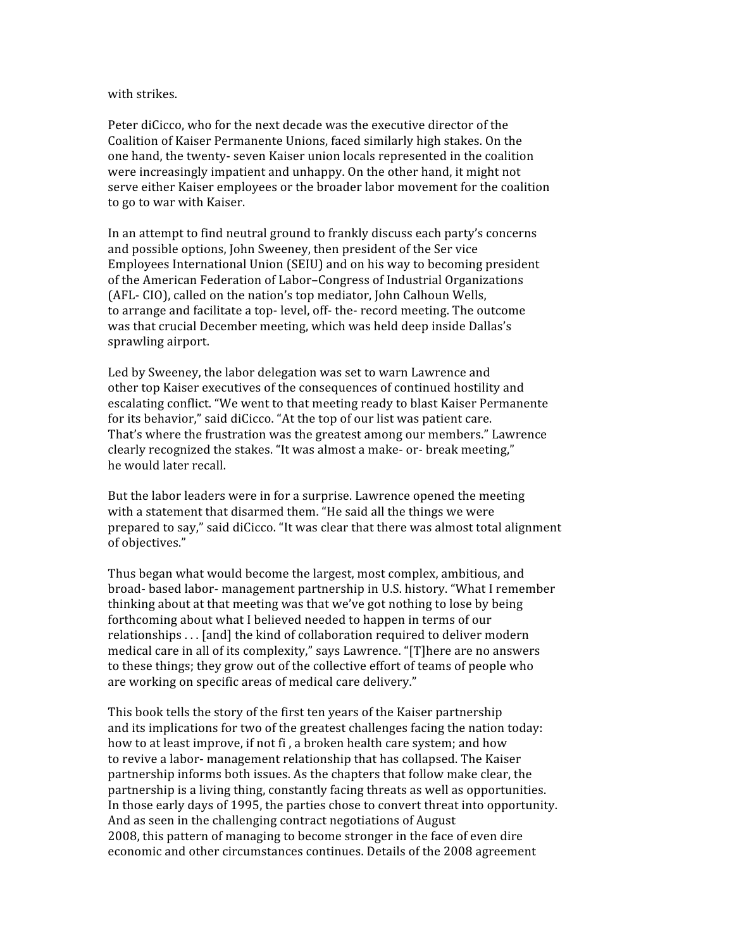## with strikes.

Peter diCicco, who for the next decade was the executive director of the Coalition of Kaiser Permanente Unions, faced similarly high stakes. On the one hand, the twenty‐ seven Kaiser union locals represented in the coalition were increasingly impatient and unhappy. On the other hand, it might not serve either Kaiser employees or the broader labor movement for the coalition to go to war with Kaiser.

In an attempt to find neutral ground to frankly discuss each party's concerns and possible options, John Sweeney, then president of the Ser vice Employees International Union (SEIU) and on his way to becoming president of the American Federation of Labor–Congress of Industrial Organizations (AFL‐ CIO), called on the nation's top mediator, John Calhoun Wells, to arrange and facilitate a top‐ level, off‐ the‐ record meeting. The outcome was that crucial December meeting, which was held deep inside Dallas's sprawling airport.

Led by Sweeney, the labor delegation was set to warn Lawrence and other top Kaiser executives of the consequences of continued hostility and escalating conflict. "We went to that meeting ready to blast Kaiser Permanente for its behavior," said diCicco. "At the top of our list was patient care. That's where the frustration was the greatest among our members." Lawrence clearly recognized the stakes. "It was almost a make‐ or‐ break meeting," he would later recall.

But the labor leaders were in for a surprise. Lawrence opened the meeting with a statement that disarmed them. "He said all the things we were prepared to say," said diCicco. "It was clear that there was almost total alignment of objectives."

Thus began what would become the largest, most complex, ambitious, and broad‐ based labor‐ management partnership in U.S. history. "What I remember thinking about at that meeting was that we've got nothing to lose by being forthcoming about what I believed needed to happen in terms of our relationships . . . [and] the kind of collaboration required to deliver modern medical care in all of its complexity," says Lawrence. "[T]here are no answers to these things; they grow out of the collective effort of teams of people who are working on specific areas of medical care delivery."

This book tells the story of the first ten years of the Kaiser partnership and its implications for two of the greatest challenges facing the nation today: how to at least improve, if not fi , a broken health care system; and how to revive a labor‐ management relationship that has collapsed. The Kaiser partnership informs both issues. As the chapters that follow make clear, the partnership is a living thing, constantly facing threats as well as opportunities. In those early days of 1995, the parties chose to convert threat into opportunity. And as seen in the challenging contract negotiations of August 2008, this pattern of managing to become stronger in the face of even dire economic and other circumstances continues. Details of the 2008 agreement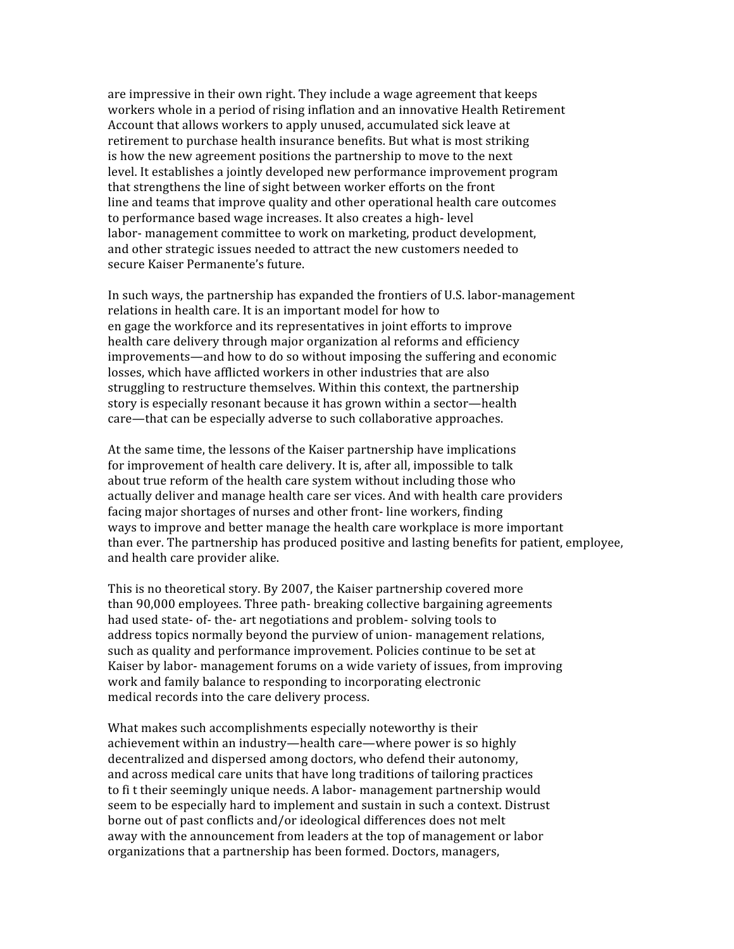are impressive in their own right. They include a wage agreement that keeps workers whole in a period of rising inflation and an innovative Health Retirement Account that allows workers to apply unused, accumulated sick leave at retirement to purchase health insurance benefits. But what is most striking is how the new agreement positions the partnership to move to the next level. It establishes a jointly developed new performance improvement program that strengthens the line of sight between worker efforts on the front line and teams that improve quality and other operational health care outcomes to performance based wage increases. It also creates a high‐ level labor‐ management committee to work on marketing, product development, and other strategic issues needed to attract the new customers needed to secure Kaiser Permanente's future.

In such ways, the partnership has expanded the frontiers of U.S. labor-management relations in health care. It is an important model for how to en gage the workforce and its representatives in joint efforts to improve health care delivery through major organization al reforms and efficiency improvements—and how to do so without imposing the suffering and economic losses, which have afflicted workers in other industries that are also struggling to restructure themselves. Within this context, the partnership story is especially resonant because it has grown within a sector—health care—that can be especially adverse to such collaborative approaches.

At the same time, the lessons of the Kaiser partnership have implications for improvement of health care delivery. It is, after all, impossible to talk about true reform of the health care system without including those who actually deliver and manage health care ser vices. And with health care providers facing major shortages of nurses and other front‐ line workers, finding ways to improve and better manage the health care workplace is more important than ever. The partnership has produced positive and lasting benefits for patient, employee, and health care provider alike.

This is no theoretical story. By 2007, the Kaiser partnership covered more than 90,000 employees. Three path‐ breaking collective bargaining agreements had used state‐ of‐ the‐ art negotiations and problem‐ solving tools to address topics normally beyond the purview of union‐ management relations, such as quality and performance improvement. Policies continue to be set at Kaiser by labor- management forums on a wide variety of issues, from improving work and family balance to responding to incorporating electronic medical records into the care delivery process.

What makes such accomplishments especially noteworthy is their achievement within an industry—health care—where power is so highly decentralized and dispersed among doctors, who defend their autonomy, and across medical care units that have long traditions of tailoring practices to fi t their seemingly unique needs. A labor‐ management partnership would seem to be especially hard to implement and sustain in such a context. Distrust borne out of past conflicts and/or ideological differences does not melt away with the announcement from leaders at the top of management or labor organizations that a partnership has been formed. Doctors, managers,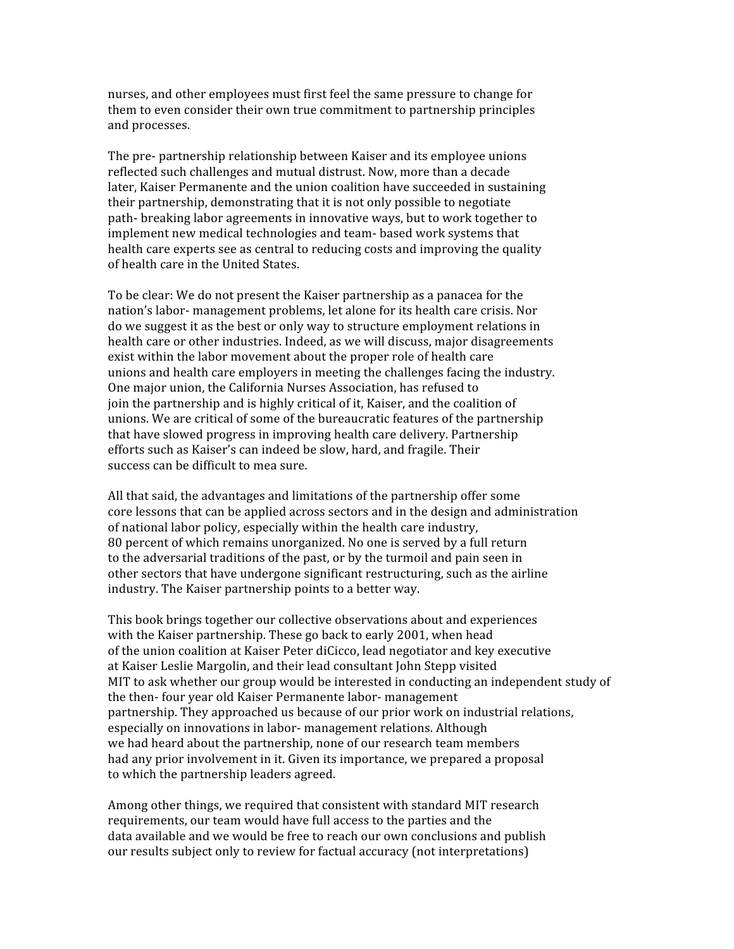nurses, and other employees must first feel the same pressure to change for them to even consider their own true commitment to partnership principles and processes.

The pre‐ partnership relationship between Kaiser and its employee unions reflected such challenges and mutual distrust. Now, more than a decade later, Kaiser Permanente and the union coalition have succeeded in sustaining their partnership, demonstrating that it is not only possible to negotiate path‐ breaking labor agreements in innovative ways, but to work together to implement new medical technologies and team‐ based work systems that health care experts see as central to reducing costs and improving the quality of health care in the United States.

To be clear: We do not present the Kaiser partnership as a panacea for the nation's labor‐ management problems, let alone for its health care crisis. Nor do we suggest it as the best or only way to structure employment relations in health care or other industries. Indeed, as we will discuss, major disagreements exist within the labor movement about the proper role of health care unions and health care employers in meeting the challenges facing the industry. One major union, the California Nurses Association, has refused to join the partnership and is highly critical of it, Kaiser, and the coalition of unions. We are critical of some of the bureaucratic features of the partnership that have slowed progress in improving health care delivery. Partnership efforts such as Kaiser's can indeed be slow, hard, and fragile. Their success can be difficult to mea sure.

All that said, the advantages and limitations of the partnership offer some core lessons that can be applied across sectors and in the design and administration of national labor policy, especially within the health care industry, 80 percent of which remains unorganized. No one is served by a full return to the adversarial traditions of the past, or by the turmoil and pain seen in other sectors that have undergone significant restructuring, such as the airline industry. The Kaiser partnership points to a better way.

This book brings together our collective observations about and experiences with the Kaiser partnership. These go back to early 2001, when head of the union coalition at Kaiser Peter diCicco, lead negotiator and key executive at Kaiser Leslie Margolin, and their lead consultant John Stepp visited MIT to ask whether our group would be interested in conducting an independent study of the then‐ four year old Kaiser Permanente labor‐ management partnership. They approached us because of our prior work on industrial relations, especially on innovations in labor‐ management relations. Although we had heard about the partnership, none of our research team members had any prior involvement in it. Given its importance, we prepared a proposal to which the partnership leaders agreed.

Among other things, we required that consistent with standard MIT research requirements, our team would have full access to the parties and the data available and we would be free to reach our own conclusions and publish our results subject only to review for factual accuracy (not interpretations)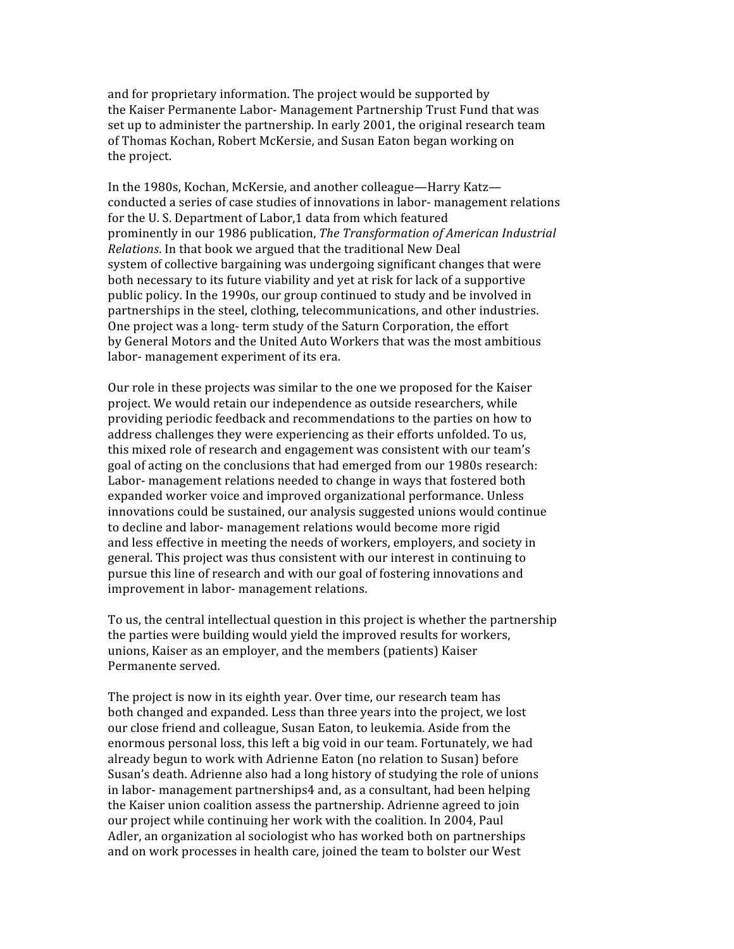and for proprietary information. The project would be supported by the Kaiser Permanente Labor‐ Management Partnership Trust Fund that was set up to administer the partnership. In early 2001, the original research team of Thomas Kochan, Robert McKersie, and Susan Eaton began working on the project.

In the 1980s, Kochan, McKersie, and another colleague—Harry Katz conducted a series of case studies of innovations in labor‐ management relations for the U. S. Department of Labor,1 data from which featured prominently in our 1986 publication, *The Transformation of American Industrial Relations*. In that book we argued that the traditional New Deal system of collective bargaining was undergoing significant changes that were both necessary to its future viability and yet at risk for lack of a supportive public policy. In the 1990s, our group continued to study and be involved in partnerships in the steel, clothing, telecommunications, and other industries. One project was a long‐ term study of the Saturn Corporation, the effort by General Motors and the United Auto Workers that was the most ambitious labor‐ management experiment of its era.

Our role in these projects was similar to the one we proposed for the Kaiser project. We would retain our independence as outside researchers, while providing periodic feedback and recommendations to the parties on how to address challenges they were experiencing as their efforts unfolded. To us, this mixed role of research and engagement was consistent with our team's goal of acting on the conclusions that had emerged from our 1980s research: Labor- management relations needed to change in ways that fostered both expanded worker voice and improved organizational performance. Unless innovations could be sustained, our analysis suggested unions would continue to decline and labor‐ management relations would become more rigid and less effective in meeting the needs of workers, employers, and society in general. This project was thus consistent with our interest in continuing to pursue this line of research and with our goal of fostering innovations and improvement in labor‐ management relations.

To us, the central intellectual question in this project is whether the partnership the parties were building would yield the improved results for workers, unions, Kaiser as an employer, and the members (patients) Kaiser Permanente served.

The project is now in its eighth year. Over time, our research team has both changed and expanded. Less than three years into the project, we lost our close friend and colleague, Susan Eaton, to leukemia. Aside from the enormous personal loss, this left a big void in our team. Fortunately, we had already begun to work with Adrienne Eaton (no relation to Susan) before Susan's death. Adrienne also had a long history of studying the role of unions in labor‐ management partnerships4 and, as a consultant, had been helping the Kaiser union coalition assess the partnership. Adrienne agreed to join our project while continuing her work with the coalition. In 2004, Paul Adler, an organization al sociologist who has worked both on partnerships and on work processes in health care, joined the team to bolster our West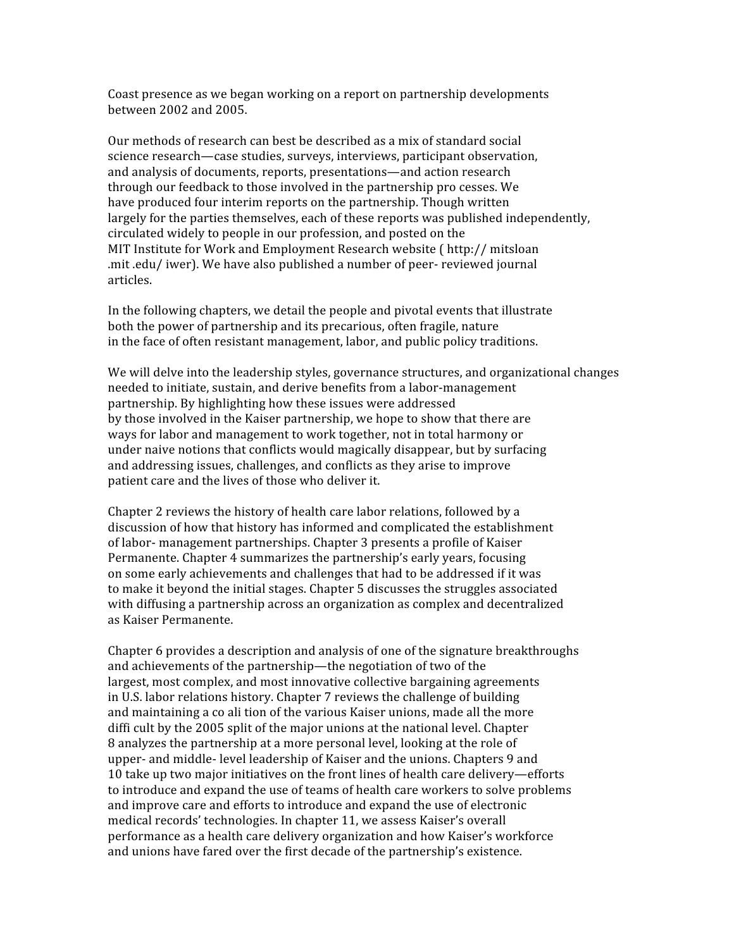Coast presence as we began working on a report on partnership developments between 2002 and 2005.

Our methods of research can best be described as a mix of standard social science research—case studies, surveys, interviews, participant observation, and analysis of documents, reports, presentations—and action research through our feedback to those involved in the partnership pro cesses. We have produced four interim reports on the partnership. Though written largely for the parties themselves, each of these reports was published independently, circulated widely to people in our profession, and posted on the MIT Institute for Work and Employment Research website ( http:// mitsloan .mit .edu/ iwer). We have also published a number of peer‐ reviewed journal articles.

In the following chapters, we detail the people and pivotal events that illustrate both the power of partnership and its precarious, often fragile, nature in the face of often resistant management, labor, and public policy traditions.

We will delve into the leadership styles, governance structures, and organizational changes needed to initiate, sustain, and derive benefits from a labor‐management partnership. By highlighting how these issues were addressed by those involved in the Kaiser partnership, we hope to show that there are ways for labor and management to work together, not in total harmony or under naive notions that conflicts would magically disappear, but by surfacing and addressing issues, challenges, and conflicts as they arise to improve patient care and the lives of those who deliver it.

Chapter 2 reviews the history of health care labor relations, followed by a discussion of how that history has informed and complicated the establishment of labor‐ management partnerships. Chapter 3 presents a profile of Kaiser Permanente. Chapter 4 summarizes the partnership's early years, focusing on some early achievements and challenges that had to be addressed if it was to make it beyond the initial stages. Chapter 5 discusses the struggles associated with diffusing a partnership across an organization as complex and decentralized as Kaiser Permanente.

Chapter 6 provides a description and analysis of one of the signature breakthroughs and achievements of the partnership—the negotiation of two of the largest, most complex, and most innovative collective bargaining agreements in U.S. labor relations history. Chapter 7 reviews the challenge of building and maintaining a co ali tion of the various Kaiser unions, made all the more diffi cult by the 2005 split of the major unions at the national level. Chapter 8 analyzes the partnership at a more personal level, looking at the role of upper‐ and middle‐ level leadership of Kaiser and the unions. Chapters 9 and 10 take up two major initiatives on the front lines of health care delivery—efforts to introduce and expand the use of teams of health care workers to solve problems and improve care and efforts to introduce and expand the use of electronic medical records' technologies. In chapter 11, we assess Kaiser's overall performance as a health care delivery organization and how Kaiser's workforce and unions have fared over the first decade of the partnership's existence.